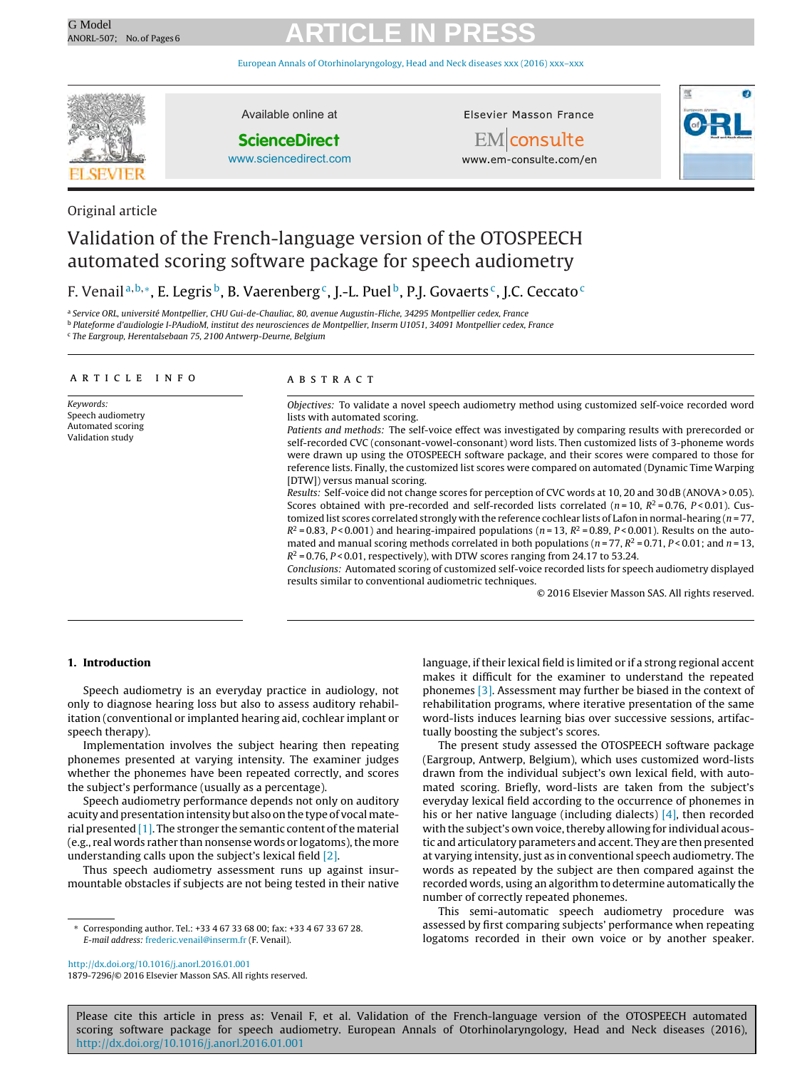European Annals of [Otorhinolaryngology,](dx.doi.org/10.1016/j.anorl.2016.01.001) Head and Neck diseases xxx (2016) xxx–xxx



Original article

Available online at

#### **ScienceDirect**

[www.sciencedirect.com](http://www.sciencedirect.com/science/journal/00000000)

Elsevier Masson France





www.em-consulte.com/en

### Validation of the French-language version of the OTOSPEECH automated scoring software package for speech audiometry

### F. Venail<sup>a,b,∗</sup>, E. Legris<sup>b</sup>, B. Vaerenberg<sup>c</sup>, J.-L. Puel<sup>b</sup>, P.J. Govaerts<sup>c</sup>, J.C. Ceccato<sup>c</sup>

<sup>a</sup> Service ORL, université Montpellier, CHU Gui-de-Chauliac, 80, avenue Augustin-Fliche, 34295 Montpellier cedex, France

<sup>b</sup> Plateforme d'audiologie I-PAudioM, institut des neurosciences de Montpellier, Inserm U1051, 34091 Montpellier cedex, France

<sup>c</sup> The Eargroup, Herentalsebaan 75, 2100 Antwerp-Deurne, Belgium

#### a r t i c l e i n f o

Keywords: Speech audiometry Automated scoring Validation study

#### A B S T R A C T

Objectives: To validate a novel speech audiometry method using customized self-voice recorded word lists with automated scoring.

Patients and methods: The self-voice effect was investigated by comparing results with prerecorded or self-recorded CVC (consonant-vowel-consonant) word lists. Then customized lists of 3-phoneme words were drawn up using the OTOSPEECH software package, and their scores were compared to those for reference lists. Finally, the customized list scores were compared on automated (Dynamic Time Warping [DTW]) versus manual scoring.

Results: Self-voice did not change scores for perception of CVC words at 10, 20 and 30 dB (ANOVA> 0.05). Scores obtained with pre-recorded and self-recorded lists correlated ( $n = 10$ ,  $R^2 = 0.76$ ,  $P < 0.01$ ). Customized list scores correlated strongly with the reference cochlear lists of Lafon in normal-hearing  $(n = 77,$  $R^2 = 0.83$ , P < 0.001) and hearing-impaired populations (n = 13,  $R^2 = 0.89$ , P < 0.001). Results on the automated and manual scoring methods correlated in both populations ( $n = 77$ ,  $R^2 = 0.71$ ,  $P < 0.01$ ; and  $n = 13$ ,  $R^2$  = 0.76, P < 0.01, respectively), with DTW scores ranging from 24.17 to 53.24.

Conclusions: Automated scoring of customized self-voice recorded lists for speech audiometry displayed results similar to conventional audiometric techniques.

© 2016 Elsevier Masson SAS. All rights reserved.

#### **1. Introduction**

Speech audiometry is an everyday practice in audiology, not only to diagnose hearing loss but also to assess auditory rehabilitation (conventional or implanted hearing aid, cochlear implant or speech therapy).

Implementation involves the subject hearing then repeating phonemes presented at varying intensity. The examiner judges whether the phonemes have been repeated correctly, and scores the subject's performance (usually as a percentage).

Speech audiometry performance depends not only on auditory acuity and presentation intensity but also on the type of vocal material presented  $[1]$ . The stronger the semantic content of the material (e.g., real words rather than nonsense words or logatoms), the more understanding calls upon the subject's lexical field [\[2\].](#page-4-0)

Thus speech audiometry assessment runs up against insurmountable obstacles if subjects are not being tested in their native

makes it difficult for the examiner to understand the repeated phonemes [\[3\].](#page-4-0) Assessment may further be biased in the context of rehabilitation programs, where iterative presentation of the same word-lists induces learning bias over successive sessions, artifactually boosting the subject's scores.

language, if their lexical field is limited or if a strong regional accent

The present study assessed the OTOSPEECH software package (Eargroup, Antwerp, Belgium), which uses customized word-lists drawn from the individual subject's own lexical field, with automated scoring. Briefly, word-lists are taken from the subject's everyday lexical field according to the occurrence of phonemes in his or her native language (including dialects) [\[4\],](#page-4-0) then recorded with the subject's own voice, thereby allowing for individual acoustic and articulatory parameters and accent. They are then presented at varying intensity, just as in conventional speech audiometry. The words as repeated by the subject are then compared against the recorded words, using an algorithm to determine automatically the number of correctly repeated phonemes.

This semi-automatic speech audiometry procedure was assessed by first comparing subjects' performance when repeating logatoms recorded in their own voice or by another speaker.

[http://dx.doi.org/10.1016/j.anorl.2016.01.001](dx.doi.org/10.1016/j.anorl.2016.01.001) 1879-7296/© 2016 Elsevier Masson SAS. All rights reserved.

<sup>∗</sup> Corresponding author. Tel.: +33 4 67 33 68 00; fax: +33 4 67 33 67 28. E-mail address: [frederic.venail@inserm.fr](mailto:frederic.venail@inserm.fr) (F. Venail).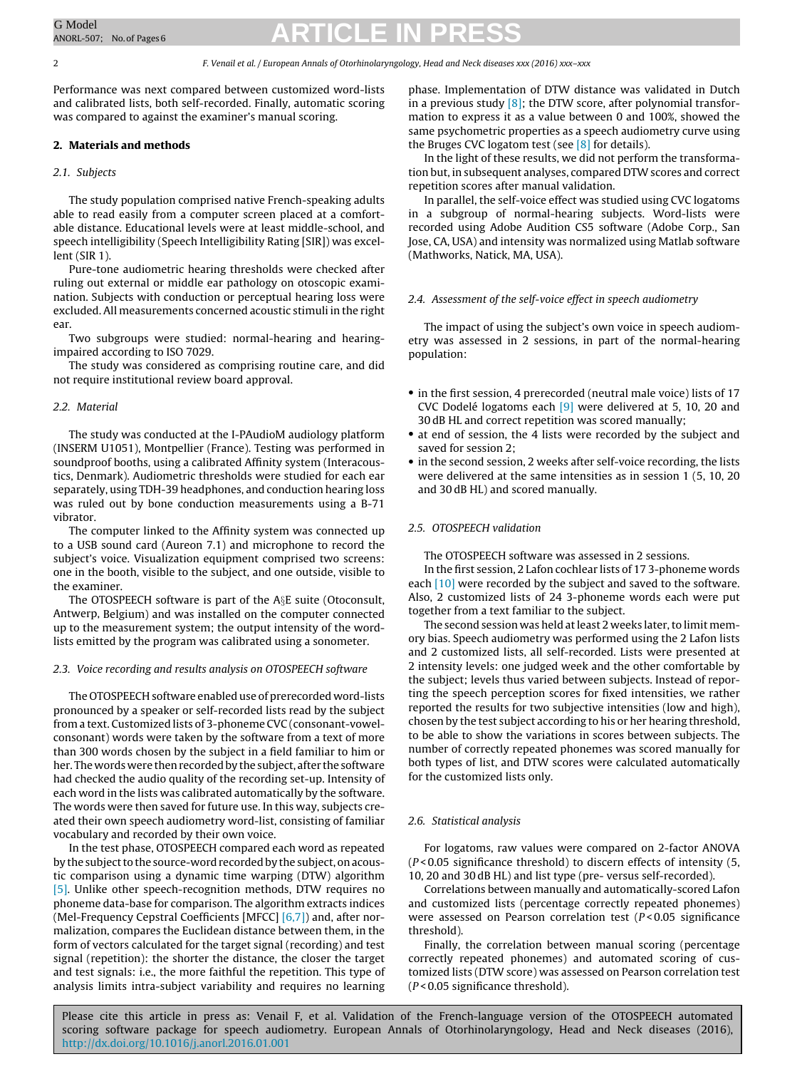Performance was next compared between customized word-lists and calibrated lists, both self-recorded. Finally, automatic scoring was compared to against the examiner's manual scoring.

#### **2. Materials and methods**

#### 2.1. Subjects

The study population comprised native French-speaking adults able to read easily from a computer screen placed at a comfortable distance. Educational levels were at least middle-school, and speech intelligibility (Speech Intelligibility Rating [SIR]) was excellent (SIR 1).

Pure-tone audiometric hearing thresholds were checked after ruling out external or middle ear pathology on otoscopic examination. Subjects with conduction or perceptual hearing loss were excluded. All measurements concerned acoustic stimuli in the right ear.

Two subgroups were studied: normal-hearing and hearingimpaired according to ISO 7029.

The study was considered as comprising routine care, and did not require institutional review board approval.

#### 2.2. Material

The study was conducted at the I-PAudioM audiology platform (INSERM U1051), Montpellier (France). Testing was performed in soundproof booths, using a calibrated Affinity system (Interacoustics, Denmark). Audiometric thresholds were studied for each ear separately, using TDH-39 headphones, and conduction hearing loss was ruled out by bone conduction measurements using a B-71 vibrator.

The computer linked to the Affinity system was connected up to a USB sound card (Aureon 7.1) and microphone to record the subject's voice. Visualization equipment comprised two screens: one in the booth, visible to the subject, and one outside, visible to the examiner.

The OTOSPEECH software is part of the A§E suite (Otoconsult, Antwerp, Belgium) and was installed on the computer connected up to the measurement system; the output intensity of the wordlists emitted by the program was calibrated using a sonometer.

#### 2.3. Voice recording and results analysis on OTOSPEECH software

The OTOSPEECH software enabled use of prerecorded word-lists pronounced by a speaker or self-recorded lists read by the subject from a text. Customized lists of 3-phoneme CVC (consonant-vowelconsonant) words were taken by the software from a text of more than 300 words chosen by the subject in a field familiar to him or her. The words were then recorded by the subject, after the software had checked the audio quality of the recording set-up. Intensity of each word in the lists was calibrated automatically by the software. The words were then saved for future use. In this way, subjects created their own speech audiometry word-list, consisting of familiar vocabulary and recorded by their own voice.

In the test phase, OTOSPEECH compared each word as repeated by the subject to the source-word recorded by the subject, on acoustic comparison using a dynamic time warping (DTW) algorithm [\[5\].](#page-5-0) Unlike other speech-recognition methods, DTW requires no phoneme data-base for comparison. The algorithm extracts indices (Mel-Frequency Cepstral Coefficients [MFCC] [\[6,7\]\)](#page-5-0) and, after normalization, compares the Euclidean distance between them, in the form of vectors calculated for the target signal (recording) and test signal (repetition): the shorter the distance, the closer the target and test signals: i.e., the more faithful the repetition. This type of analysis limits intra-subject variability and requires no learning

phase. Implementation of DTW distance was validated in Dutch in a previous study  $[8]$ ; the DTW score, after polynomial transformation to express it as a value between 0 and 100%, showed the same psychometric properties as a speech audiometry curve using the Bruges CVC logatom test (see  $[8]$  for details).

In the light of these results, we did not perform the transformation but, in subsequent analyses, compared DTW scores and correct repetition scores after manual validation.

In parallel, the self-voice effect was studied using CVC logatoms in a subgroup of normal-hearing subjects. Word-lists were recorded using Adobe Audition CS5 software (Adobe Corp., San Jose, CA, USA) and intensity was normalized using Matlab software (Mathworks, Natick, MA, USA).

#### 2.4. Assessment of the self-voice effect in speech audiometry

The impact of using the subject's own voice in speech audiometry was assessed in 2 sessions, in part of the normal-hearing population:

- in the first session, 4 prerecorded (neutral male voice) lists of 17 CVC Dodelé logatoms each [\[9\]](#page-5-0) were delivered at 5, 10, 20 and 30 dB HL and correct repetition was scored manually;
- at end of session, the 4 lists were recorded by the subject and saved for session 2;
- in the second session, 2 weeks after self-voice recording, the lists were delivered at the same intensities as in session 1 (5, 10, 20 and 30 dB HL) and scored manually.

#### 2.5. OTOSPEECH validation

The OTOSPEECH software was assessed in 2 sessions.

In the first session, 2 Lafon cochlear lists of 17 3-phoneme words each [\[10\]](#page-5-0) were recorded by the subject and saved to the software. Also, 2 customized lists of 24 3-phoneme words each were put together from a text familiar to the subject.

The second session was held at least 2 weeks later, to limit memory bias. Speech audiometry was performed using the 2 Lafon lists and 2 customized lists, all self-recorded. Lists were presented at 2 intensity levels: one judged week and the other comfortable by the subject; levels thus varied between subjects. Instead of reporting the speech perception scores for fixed intensities, we rather reported the results for two subjective intensities (low and high), chosen by the test subject according to his or her hearing threshold, to be able to show the variations in scores between subjects. The number of correctly repeated phonemes was scored manually for both types of list, and DTW scores were calculated automatically for the customized lists only.

#### 2.6. Statistical analysis

For logatoms, raw values were compared on 2-factor ANOVA  $(P < 0.05$  significance threshold) to discern effects of intensity  $(5, 1)$ 10, 20 and 30 dB HL) and list type (pre- versus self-recorded).

Correlations between manually and automatically-scored Lafon and customized lists (percentage correctly repeated phonemes) were assessed on Pearson correlation test  $(P < 0.05$  significance threshold).

Finally, the correlation between manual scoring (percentage correctly repeated phonemes) and automated scoring of customized lists (DTW score) was assessed on Pearson correlation test  $(P < 0.05$  significance threshold).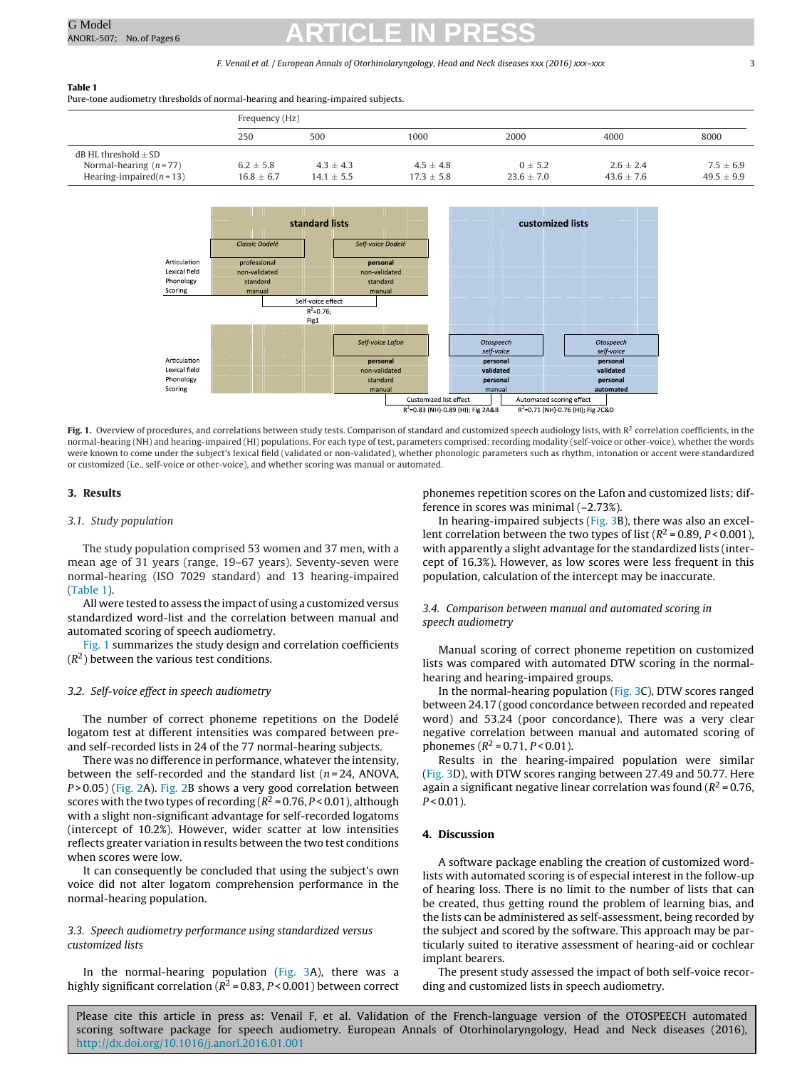#### F. Venail et al. / European Annals of Otorhinolaryngology, Head and Neck diseases xxx (2016) xxx–xxx 3

#### **Table 1**

Pure-tone audiometry thresholds of normal-hearing and hearing-impaired subjects.

|                                                                                  | Frequency (Hz)                  |                                 |                                 |                               |                                 |                                 |
|----------------------------------------------------------------------------------|---------------------------------|---------------------------------|---------------------------------|-------------------------------|---------------------------------|---------------------------------|
|                                                                                  | 250                             | 500                             | 1000                            | 2000                          | 4000                            | 8000                            |
| $dB$ HL threshold $+$ SD<br>Normal-hearing $(n=77)$<br>Hearing-impaired $(n=13)$ | $6.2 \pm 5.8$<br>$16.8 \pm 6.7$ | $4.3 \pm 4.3$<br>$14.1 \pm 5.5$ | $4.5 \pm 4.8$<br>$17.3 \pm 5.8$ | $0 \pm 5.2$<br>$23.6 \pm 7.0$ | $2.6 \pm 2.4$<br>$43.6 \pm 7.6$ | $7.5 \pm 6.9$<br>$49.5 \pm 9.9$ |



Fig. 1. Overview of procedures, and correlations between study tests. Comparison of standard and customized speech audiology lists, with R<sup>2</sup> correlation coefficients, in the normal-hearing (NH) and hearing-impaired (HI) populations. For each type of test, parameters comprised: recording modality (self-voice or other-voice), whether the words were known to come under the subject's lexical field (validated or non-validated), whether phonologic parameters such as rhythm, intonation or accent were standardized or customized (i.e., self-voice or other-voice), and whether scoring was manual or automated.

#### **3. Results**

#### 3.1. Study population

The study population comprised 53 women and 37 men, with a mean age of 31 years (range, 19–67 years). Seventy-seven were normal-hearing (ISO 7029 standard) and 13 hearing-impaired (Table 1).

All were tested to assess the impact of using a customized versus standardized word-list and the correlation between manual and automated scoring of speech audiometry.

Fig. 1 summarizes the study design and correlation coefficients  $(R<sup>2</sup>)$  between the various test conditions.

#### 3.2. Self-voice effect in speech audiometry

The number of correct phoneme repetitions on the Dodelé logatom test at different intensities was compared between preand self-recorded lists in 24 of the 77 normal-hearing subjects.

There was no difference in performance, whatever the intensity, between the self-recorded and the standard list ( $n = 24$ , ANOVA, P > 0.05) ([Fig.](#page-3-0) 2A). Fig. 2B shows a very good correlation between scores with the two types of recording  $(R^2 = 0.76, P < 0.01)$ , although with a slight non-significant advantage for self-recorded logatoms (intercept of 10.2%). However, wider scatter at low intensities reflects greater variation in results between the two test conditions when scores were low.

It can consequently be concluded that using the subject's own voice did not alter logatom comprehension performance in the normal-hearing population.

#### 3.3. Speech audiometry performance using standardized versus customized lists

In the normal-hearing population ([Fig.](#page-4-0) 3A), there was a highly significant correlation ( $R^2$  = 0.83,  $P$  < 0.001) between correct

phonemes repetition scores on the Lafon and customized lists; difference in scores was minimal (–2.73%).

In hearing-impaired subjects ([Fig.](#page-4-0) 3B), there was also an excellent correlation between the two types of list ( $R^2$  = 0.89, P < 0.001), with apparently a slight advantage for the standardized lists (intercept of 16.3%). However, as low scores were less frequent in this population, calculation of the intercept may be inaccurate.

#### 3.4. Comparison between manual and automated scoring in speech audiometry

Manual scoring of correct phoneme repetition on customized lists was compared with automated DTW scoring in the normalhearing and hearing-impaired groups.

In the normal-hearing population ([Fig.](#page-4-0) 3C), DTW scores ranged between 24.17 (good concordance between recorded and repeated word) and 53.24 (poor concordance). There was a very clear negative correlation between manual and automated scoring of phonemes ( $R^2$  = 0.71,  $P$  < 0.01).

Results in the hearing-impaired population were similar [\(Fig.](#page-4-0) 3D), with DTW scores ranging between 27.49 and 50.77. Here again a significant negative linear correlation was found ( $R^2$  = 0.76,  $P < 0.01$ ).

#### **4. Discussion**

A software package enabling the creation of customized wordlists with automated scoring is of especial interest in the follow-up of hearing loss. There is no limit to the number of lists that can be created, thus getting round the problem of learning bias, and the lists can be administered as self-assessment, being recorded by the subject and scored by the software. This approach may be particularly suited to iterative assessment of hearing-aid or cochlear implant bearers.

The present study assessed the impact of both self-voice recording and customized lists in speech audiometry.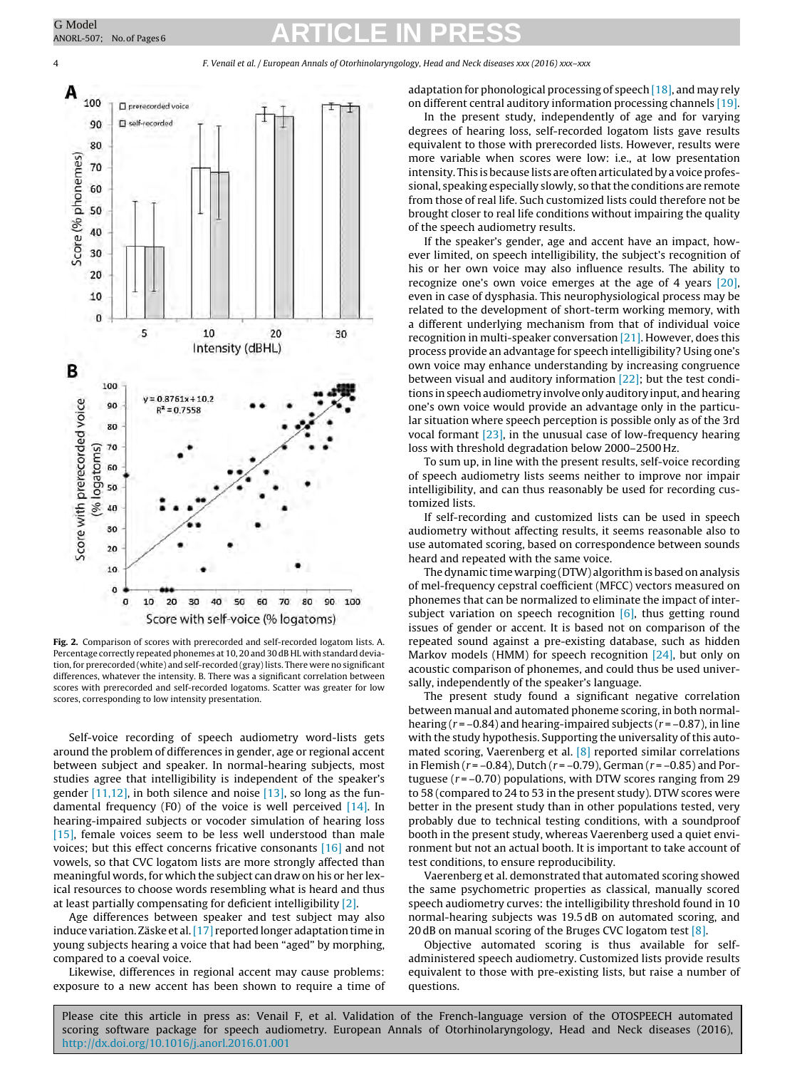<span id="page-3-0"></span>4 F. Venail et al. / European Annals of Otorhinolaryngology, Head and Neck diseases xxx (2016) xxx–xxx



**Fig. 2.** Comparison of scores with prerecorded and self-recorded logatom lists. A. Percentage correctly repeated phonemes at 10, 20 and 30 dB HL with standard deviation, for prerecorded (white) and self-recorded (gray)lists. There were no significant differences, whatever the intensity. B. There was a significant correlation between scores with prerecorded and self-recorded logatoms. Scatter was greater for low scores, corresponding to low intensity presentation.

Self-voice recording of speech audiometry word-lists gets around the problem of differences in gender, age or regional accent between subject and speaker. In normal-hearing subjects, most studies agree that intelligibility is independent of the speaker's gender  $[11,12]$ , in both silence and noise  $[13]$ , so long as the fundamental frequency (F0) of the voice is well perceived [\[14\].](#page-5-0) In hearing-impaired subjects or vocoder simulation of hearing loss [\[15\],](#page-5-0) female voices seem to be less well understood than male voices; but this effect concerns fricative consonants [\[16\]](#page-5-0) and not vowels, so that CVC logatom lists are more strongly affected than meaningful words, for which the subject can draw on his or her lexical resources to choose words resembling what is heard and thus at least partially compensating for deficient intelligibility [\[2\].](#page-4-0)

Age differences between speaker and test subject may also induce variation. Zäske et al. [\[17\]](#page-5-0) reported longer adaptation time in young subjects hearing a voice that had been "aged" by morphing, compared to a coeval voice.

Likewise, differences in regional accent may cause problems: exposure to a new accent has been shown to require a time of adaptation for phonological processing of speech  $[18]$ , and may rely on different central auditory information processing channels [\[19\].](#page-5-0)

In the present study, independently of age and for varying degrees of hearing loss, self-recorded logatom lists gave results equivalent to those with prerecorded lists. However, results were more variable when scores were low: i.e., at low presentation intensity. This is because lists are often articulated by a voice professional, speaking especially slowly, so that the conditions are remote from those of real life. Such customized lists could therefore not be brought closer to real life conditions without impairing the quality of the speech audiometry results.

If the speaker's gender, age and accent have an impact, however limited, on speech intelligibility, the subject's recognition of his or her own voice may also influence results. The ability to recognize one's own voice emerges at the age of 4 years [\[20\],](#page-5-0) even in case of dysphasia. This neurophysiological process may be related to the development of short-term working memory, with a different underlying mechanism from that of individual voice recognition in multi-speaker conversation [\[21\].](#page-5-0) However, does this process provide an advantage for speech intelligibility? Using one's own voice may enhance understanding by increasing congruence between visual and auditory information [\[22\];](#page-5-0) but the test conditions in speech audiometry involve only auditory input, and hearing one's own voice would provide an advantage only in the particular situation where speech perception is possible only as of the 3rd vocal formant  $[23]$ , in the unusual case of low-frequency hearing loss with threshold degradation below 2000–2500 Hz.

To sum up, in line with the present results, self-voice recording of speech audiometry lists seems neither to improve nor impair intelligibility, and can thus reasonably be used for recording customized lists.

If self-recording and customized lists can be used in speech audiometry without affecting results, it seems reasonable also to use automated scoring, based on correspondence between sounds heard and repeated with the same voice.

The dynamic time warping (DTW) algorithm is based on analysis of mel-frequency cepstral coefficient (MFCC) vectors measured on phonemes that can be normalized to eliminate the impact of intersubject variation on speech recognition  $[6]$ , thus getting round issues of gender or accent. It is based not on comparison of the repeated sound against a pre-existing database, such as hidden Markov models (HMM) for speech recognition  $[24]$ , but only on acoustic comparison of phonemes, and could thus be used universally, independently of the speaker's language.

The present study found a significant negative correlation between manual and automated phoneme scoring, in both normalhearing  $(r = -0.84)$  and hearing-impaired subjects  $(r = -0.87)$ , in line with the study hypothesis. Supporting the universality of this automated scoring, Vaerenberg et al. [\[8\]](#page-5-0) reported similar correlations in Flemish ( $r = -0.84$ ), Dutch ( $r = -0.79$ ), German ( $r = -0.85$ ) and Portuguese  $(r = -0.70)$  populations, with DTW scores ranging from 29 to 58 (compared to 24 to 53 in the present study). DTW scores were better in the present study than in other populations tested, very probably due to technical testing conditions, with a soundproof booth in the present study, whereas Vaerenberg used a quiet environment but not an actual booth. It is important to take account of test conditions, to ensure reproducibility.

Vaerenberg et al. demonstrated that automated scoring showed the same psychometric properties as classical, manually scored speech audiometry curves: the intelligibility threshold found in 10 normal-hearing subjects was 19.5 dB on automated scoring, and 20 dB on manual scoring of the Bruges CVC logatom test  $[8]$ .

Objective automated scoring is thus available for selfadministered speech audiometry. Customized lists provide results equivalent to those with pre-existing lists, but raise a number of questions.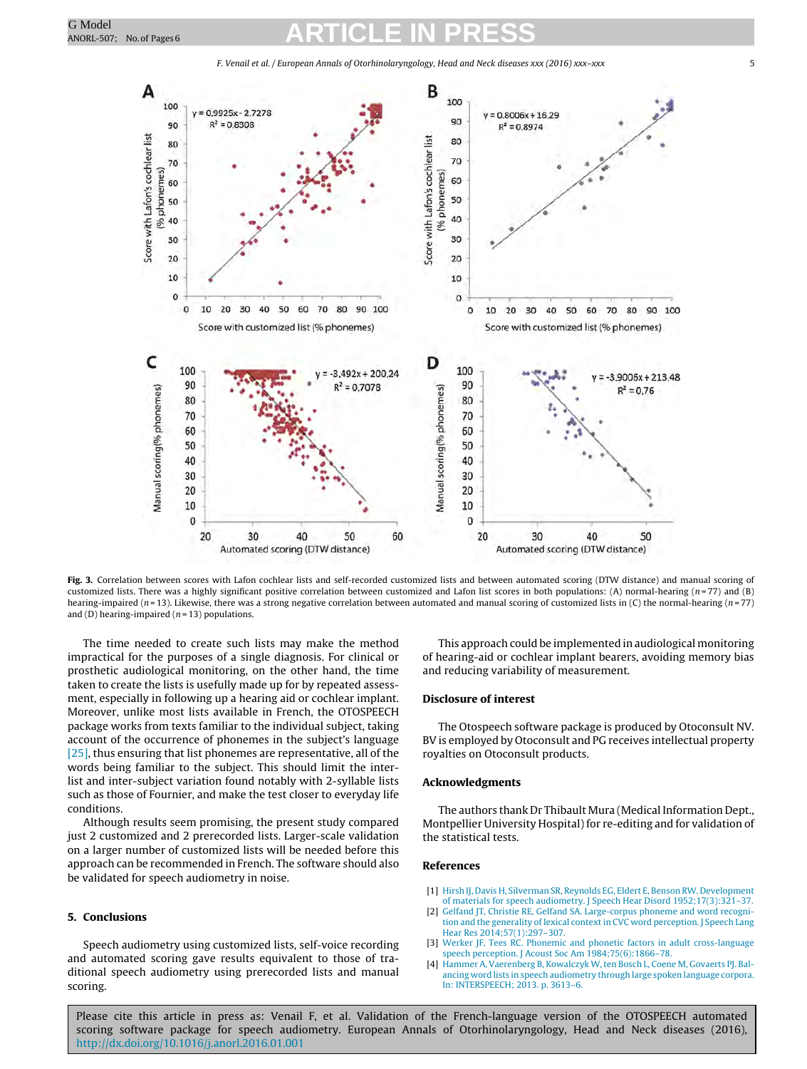F. Venail et al. / European Annals of Otorhinolaryngology, Head and Neck diseases xxx (2016) xxx–xxx 5

<span id="page-4-0"></span>

Fig. 3. Correlation between scores with Lafon cochlear lists and self-recorded customized lists and between automated scoring (DTW distance) and manual scoring of customized lists. There was a highly significant positive correlation between customized and Lafon list scores in both populations: (A) normal-hearing (n=77) and (B) hearing-impaired ( $n = 13$ ). Likewise, there was a strong negative correlation between automated and manual scoring of customized lists in (C) the normal-hearing ( $n = 77$ ) and (D) hearing-impaired ( $n = 13$ ) populations.

The time needed to create such lists may make the method impractical for the purposes of a single diagnosis. For clinical or prosthetic audiological monitoring, on the other hand, the time taken to create the lists is usefully made up for by repeated assessment, especially in following up a hearing aid or cochlear implant. Moreover, unlike most lists available in French, the OTOSPEECH package works from texts familiar to the individual subject, taking account of the occurrence of phonemes in the subject's language [\[25\],](#page-5-0) thus ensuring that list phonemes are representative, all of the words being familiar to the subject. This should limit the interlist and inter-subject variation found notably with 2-syllable lists such as those of Fournier, and make the test closer to everyday life conditions.

Although results seem promising, the present study compared just 2 customized and 2 prerecorded lists. Larger-scale validation on a larger number of customized lists will be needed before this approach can be recommended in French. The software should also be validated for speech audiometry in noise.

#### **5. Conclusions**

Speech audiometry using customized lists, self-voice recording and automated scoring gave results equivalent to those of traditional speech audiometry using prerecorded lists and manual scoring.

This approach could be implemented in audiological monitoring of hearing-aid or cochlear implant bearers, avoiding memory bias and reducing variability of measurement.

#### **Disclosure of interest**

The Otospeech software package is produced by Otoconsult NV. BV is employed by Otoconsult and PG receives intellectual property royalties on Otoconsult products.

#### **Acknowledgments**

The authors thank Dr Thibault Mura (Medical Information Dept., Montpellier University Hospital) for re-editing and for validation of the statistical tests.

#### **References**

- [1] [Hirsh](http://refhub.elsevier.com/S1879-7296(16)30001-1/sbref0130) [IJ,](http://refhub.elsevier.com/S1879-7296(16)30001-1/sbref0130) [Davis](http://refhub.elsevier.com/S1879-7296(16)30001-1/sbref0130) [H,](http://refhub.elsevier.com/S1879-7296(16)30001-1/sbref0130) [Silverman](http://refhub.elsevier.com/S1879-7296(16)30001-1/sbref0130) [SR,](http://refhub.elsevier.com/S1879-7296(16)30001-1/sbref0130) [Reynolds](http://refhub.elsevier.com/S1879-7296(16)30001-1/sbref0130) [EG,](http://refhub.elsevier.com/S1879-7296(16)30001-1/sbref0130) [Eldert](http://refhub.elsevier.com/S1879-7296(16)30001-1/sbref0130) [E,](http://refhub.elsevier.com/S1879-7296(16)30001-1/sbref0130) [Benson](http://refhub.elsevier.com/S1879-7296(16)30001-1/sbref0130) [RW.](http://refhub.elsevier.com/S1879-7296(16)30001-1/sbref0130) [Development](http://refhub.elsevier.com/S1879-7296(16)30001-1/sbref0130) [of](http://refhub.elsevier.com/S1879-7296(16)30001-1/sbref0130) [materials](http://refhub.elsevier.com/S1879-7296(16)30001-1/sbref0130) [for](http://refhub.elsevier.com/S1879-7296(16)30001-1/sbref0130) [speech](http://refhub.elsevier.com/S1879-7296(16)30001-1/sbref0130) [audiometry.](http://refhub.elsevier.com/S1879-7296(16)30001-1/sbref0130) [J](http://refhub.elsevier.com/S1879-7296(16)30001-1/sbref0130) [Speech](http://refhub.elsevier.com/S1879-7296(16)30001-1/sbref0130) [Hear](http://refhub.elsevier.com/S1879-7296(16)30001-1/sbref0130) [Disord](http://refhub.elsevier.com/S1879-7296(16)30001-1/sbref0130) [1952;17\(3\):321](http://refhub.elsevier.com/S1879-7296(16)30001-1/sbref0130)–[37.](http://refhub.elsevier.com/S1879-7296(16)30001-1/sbref0130)
- [2] [Gelfand](http://refhub.elsevier.com/S1879-7296(16)30001-1/sbref0135) [JT,](http://refhub.elsevier.com/S1879-7296(16)30001-1/sbref0135) [Christie](http://refhub.elsevier.com/S1879-7296(16)30001-1/sbref0135) [RE,](http://refhub.elsevier.com/S1879-7296(16)30001-1/sbref0135) Gelfand [SA.](http://refhub.elsevier.com/S1879-7296(16)30001-1/sbref0135) [Large-corpus](http://refhub.elsevier.com/S1879-7296(16)30001-1/sbref0135) [phoneme](http://refhub.elsevier.com/S1879-7296(16)30001-1/sbref0135) [and](http://refhub.elsevier.com/S1879-7296(16)30001-1/sbref0135) [word](http://refhub.elsevier.com/S1879-7296(16)30001-1/sbref0135) [recogni](http://refhub.elsevier.com/S1879-7296(16)30001-1/sbref0135)[tion](http://refhub.elsevier.com/S1879-7296(16)30001-1/sbref0135) [and](http://refhub.elsevier.com/S1879-7296(16)30001-1/sbref0135) [the](http://refhub.elsevier.com/S1879-7296(16)30001-1/sbref0135) [generality](http://refhub.elsevier.com/S1879-7296(16)30001-1/sbref0135) [of](http://refhub.elsevier.com/S1879-7296(16)30001-1/sbref0135) [lexical](http://refhub.elsevier.com/S1879-7296(16)30001-1/sbref0135) [context](http://refhub.elsevier.com/S1879-7296(16)30001-1/sbref0135) [in](http://refhub.elsevier.com/S1879-7296(16)30001-1/sbref0135) [CVC](http://refhub.elsevier.com/S1879-7296(16)30001-1/sbref0135) [word](http://refhub.elsevier.com/S1879-7296(16)30001-1/sbref0135) [perception.](http://refhub.elsevier.com/S1879-7296(16)30001-1/sbref0135) [J](http://refhub.elsevier.com/S1879-7296(16)30001-1/sbref0135) [Speech](http://refhub.elsevier.com/S1879-7296(16)30001-1/sbref0135) [Lang](http://refhub.elsevier.com/S1879-7296(16)30001-1/sbref0135) [Hear](http://refhub.elsevier.com/S1879-7296(16)30001-1/sbref0135) [Res](http://refhub.elsevier.com/S1879-7296(16)30001-1/sbref0135) [2014;57\(1\):297](http://refhub.elsevier.com/S1879-7296(16)30001-1/sbref0135)–[307.](http://refhub.elsevier.com/S1879-7296(16)30001-1/sbref0135)
- [3] [Werker](http://refhub.elsevier.com/S1879-7296(16)30001-1/sbref0140) [JF,](http://refhub.elsevier.com/S1879-7296(16)30001-1/sbref0140) [Tees](http://refhub.elsevier.com/S1879-7296(16)30001-1/sbref0140) [RC.](http://refhub.elsevier.com/S1879-7296(16)30001-1/sbref0140) [Phonemic](http://refhub.elsevier.com/S1879-7296(16)30001-1/sbref0140) [and](http://refhub.elsevier.com/S1879-7296(16)30001-1/sbref0140) [phonetic](http://refhub.elsevier.com/S1879-7296(16)30001-1/sbref0140) [factors](http://refhub.elsevier.com/S1879-7296(16)30001-1/sbref0140) [in](http://refhub.elsevier.com/S1879-7296(16)30001-1/sbref0140) [adult](http://refhub.elsevier.com/S1879-7296(16)30001-1/sbref0140) [cross-language](http://refhub.elsevier.com/S1879-7296(16)30001-1/sbref0140) [speech](http://refhub.elsevier.com/S1879-7296(16)30001-1/sbref0140) [perception.](http://refhub.elsevier.com/S1879-7296(16)30001-1/sbref0140) [J](http://refhub.elsevier.com/S1879-7296(16)30001-1/sbref0140) [Acoust](http://refhub.elsevier.com/S1879-7296(16)30001-1/sbref0140) [Soc](http://refhub.elsevier.com/S1879-7296(16)30001-1/sbref0140) [Am](http://refhub.elsevier.com/S1879-7296(16)30001-1/sbref0140) [1984;75\(6\):1866–78.](http://refhub.elsevier.com/S1879-7296(16)30001-1/sbref0140)
- [4] [Hammer](http://refhub.elsevier.com/S1879-7296(16)30001-1/sbref0145) [A,](http://refhub.elsevier.com/S1879-7296(16)30001-1/sbref0145) [Vaerenberg](http://refhub.elsevier.com/S1879-7296(16)30001-1/sbref0145) [B,](http://refhub.elsevier.com/S1879-7296(16)30001-1/sbref0145) [Kowalczyk](http://refhub.elsevier.com/S1879-7296(16)30001-1/sbref0145) W, ten [Bosch](http://refhub.elsevier.com/S1879-7296(16)30001-1/sbref0145) [L,](http://refhub.elsevier.com/S1879-7296(16)30001-1/sbref0145) [Coene](http://refhub.elsevier.com/S1879-7296(16)30001-1/sbref0145) [M,](http://refhub.elsevier.com/S1879-7296(16)30001-1/sbref0145) [Govaerts](http://refhub.elsevier.com/S1879-7296(16)30001-1/sbref0145) PJ, [Bal](http://refhub.elsevier.com/S1879-7296(16)30001-1/sbref0145)[ancing](http://refhub.elsevier.com/S1879-7296(16)30001-1/sbref0145) [word](http://refhub.elsevier.com/S1879-7296(16)30001-1/sbref0145) [lists](http://refhub.elsevier.com/S1879-7296(16)30001-1/sbref0145) [in](http://refhub.elsevier.com/S1879-7296(16)30001-1/sbref0145) [speech](http://refhub.elsevier.com/S1879-7296(16)30001-1/sbref0145) [audiometry](http://refhub.elsevier.com/S1879-7296(16)30001-1/sbref0145) [through](http://refhub.elsevier.com/S1879-7296(16)30001-1/sbref0145) [large](http://refhub.elsevier.com/S1879-7296(16)30001-1/sbref0145) [spoken](http://refhub.elsevier.com/S1879-7296(16)30001-1/sbref0145) [language](http://refhub.elsevier.com/S1879-7296(16)30001-1/sbref0145) [corpora.](http://refhub.elsevier.com/S1879-7296(16)30001-1/sbref0145) [In:](http://refhub.elsevier.com/S1879-7296(16)30001-1/sbref0145) [INTERSPEECH;](http://refhub.elsevier.com/S1879-7296(16)30001-1/sbref0145) [2013.](http://refhub.elsevier.com/S1879-7296(16)30001-1/sbref0145) [p.](http://refhub.elsevier.com/S1879-7296(16)30001-1/sbref0145) [3613–6.](http://refhub.elsevier.com/S1879-7296(16)30001-1/sbref0145)